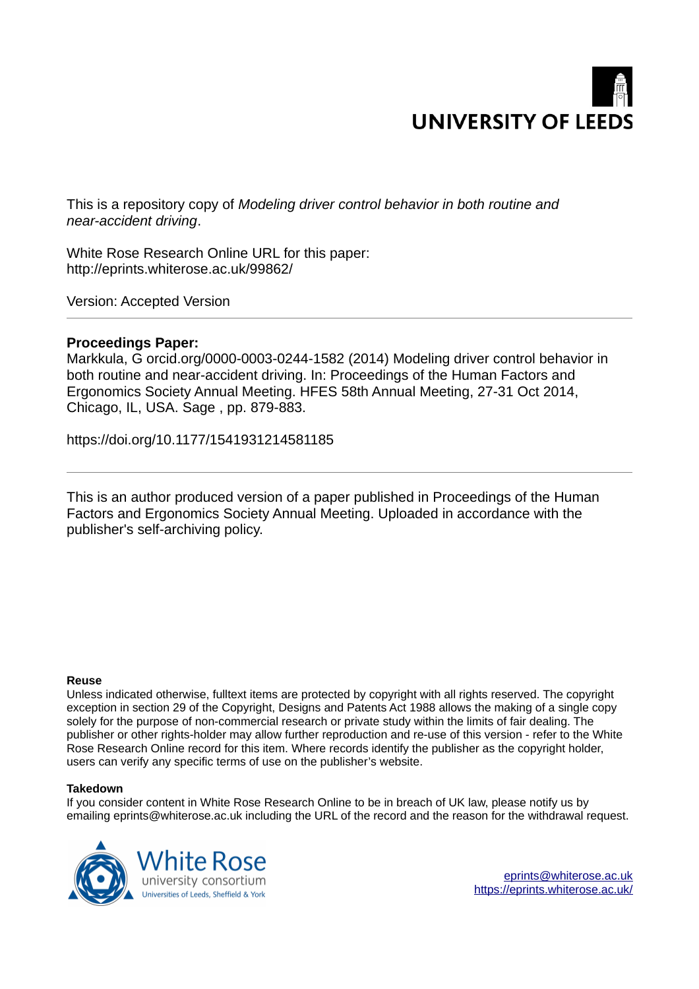

This is a repository copy of *Modeling driver control behavior in both routine and near-accident driving*.

White Rose Research Online URL for this paper: http://eprints.whiterose.ac.uk/99862/

Version: Accepted Version

# **Proceedings Paper:**

Markkula, G orcid.org/0000-0003-0244-1582 (2014) Modeling driver control behavior in both routine and near-accident driving. In: Proceedings of the Human Factors and Ergonomics Society Annual Meeting. HFES 58th Annual Meeting, 27-31 Oct 2014, Chicago, IL, USA. Sage , pp. 879-883.

https://doi.org/10.1177/1541931214581185

This is an author produced version of a paper published in Proceedings of the Human Factors and Ergonomics Society Annual Meeting. Uploaded in accordance with the publisher's self-archiving policy.

# **Reuse**

Unless indicated otherwise, fulltext items are protected by copyright with all rights reserved. The copyright exception in section 29 of the Copyright, Designs and Patents Act 1988 allows the making of a single copy solely for the purpose of non-commercial research or private study within the limits of fair dealing. The publisher or other rights-holder may allow further reproduction and re-use of this version - refer to the White Rose Research Online record for this item. Where records identify the publisher as the copyright holder, users can verify any specific terms of use on the publisher's website.

# **Takedown**

If you consider content in White Rose Research Online to be in breach of UK law, please notify us by emailing eprints@whiterose.ac.uk including the URL of the record and the reason for the withdrawal request.



[eprints@whiterose.ac.uk](mailto:eprints@whiterose.ac.uk) <https://eprints.whiterose.ac.uk/>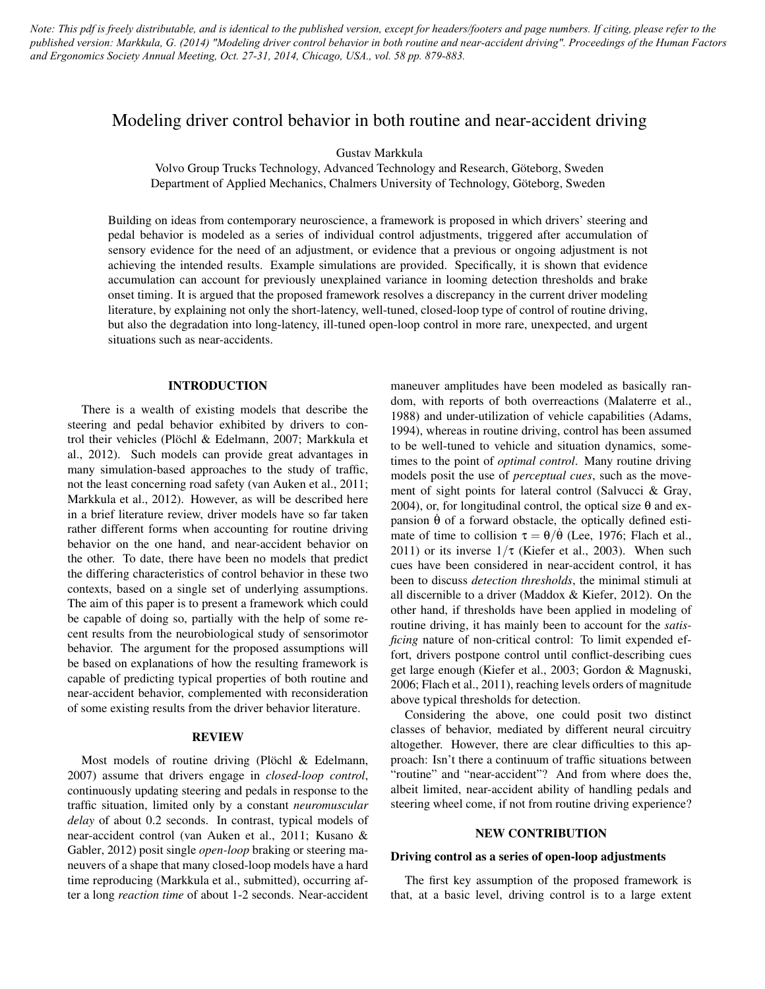*Note: This pdf is freely distributable, and is identical to the published version, except for headers/footers and page numbers. If citing, please refer to the published version: Markkula, G. (2014) "Modeling driver control behavior in both routine and near-accident driving". Proceedings of the Human Factors and Ergonomics Society Annual Meeting, Oct. 27-31, 2014, Chicago, USA., vol. 58 pp. 879-883.*

# Modeling driver control behavior in both routine and near-accident driving

Gustav Markkula

Volvo Group Trucks Technology, Advanced Technology and Research, Göteborg, Sweden Department of Applied Mechanics, Chalmers University of Technology, Göteborg, Sweden

Building on ideas from contemporary neuroscience, a framework is proposed in which drivers' steering and pedal behavior is modeled as a series of individual control adjustments, triggered after accumulation of sensory evidence for the need of an adjustment, or evidence that a previous or ongoing adjustment is not achieving the intended results. Example simulations are provided. Specifically, it is shown that evidence accumulation can account for previously unexplained variance in looming detection thresholds and brake onset timing. It is argued that the proposed framework resolves a discrepancy in the current driver modeling literature, by explaining not only the short-latency, well-tuned, closed-loop type of control of routine driving, but also the degradation into long-latency, ill-tuned open-loop control in more rare, unexpected, and urgent situations such as near-accidents.

# INTRODUCTION

There is a wealth of existing models that describe the steering and pedal behavior exhibited by drivers to control their vehicles (Plöchl & Edelmann, 2007; Markkula et al., 2012). Such models can provide great advantages in many simulation-based approaches to the study of traffic, not the least concerning road safety (van Auken et al., 2011; Markkula et al., 2012). However, as will be described here in a brief literature review, driver models have so far taken rather different forms when accounting for routine driving behavior on the one hand, and near-accident behavior on the other. To date, there have been no models that predict the differing characteristics of control behavior in these two contexts, based on a single set of underlying assumptions. The aim of this paper is to present a framework which could be capable of doing so, partially with the help of some recent results from the neurobiological study of sensorimotor behavior. The argument for the proposed assumptions will be based on explanations of how the resulting framework is capable of predicting typical properties of both routine and near-accident behavior, complemented with reconsideration of some existing results from the driver behavior literature.

#### REVIEW

Most models of routine driving (Plöchl & Edelmann, 2007) assume that drivers engage in *closed-loop control*, continuously updating steering and pedals in response to the traffic situation, limited only by a constant *neuromuscular delay* of about 0.2 seconds. In contrast, typical models of near-accident control (van Auken et al., 2011; Kusano & Gabler, 2012) posit single *open-loop* braking or steering maneuvers of a shape that many closed-loop models have a hard time reproducing (Markkula et al., submitted), occurring after a long *reaction time* of about 1-2 seconds. Near-accident maneuver amplitudes have been modeled as basically random, with reports of both overreactions (Malaterre et al., 1988) and under-utilization of vehicle capabilities (Adams, 1994), whereas in routine driving, control has been assumed to be well-tuned to vehicle and situation dynamics, sometimes to the point of *optimal control*. Many routine driving models posit the use of *perceptual cues*, such as the movement of sight points for lateral control (Salvucci & Gray, 2004), or, for longitudinal control, the optical size  $\theta$  and expansion  $\dot{\theta}$  of a forward obstacle, the optically defined estimate of time to collision  $\tau = \theta/\dot{\theta}$  (Lee, 1976; Flach et al., 2011) or its inverse  $1/\tau$  (Kiefer et al., 2003). When such cues have been considered in near-accident control, it has been to discuss *detection thresholds*, the minimal stimuli at all discernible to a driver (Maddox & Kiefer, 2012). On the other hand, if thresholds have been applied in modeling of routine driving, it has mainly been to account for the *satisficing* nature of non-critical control: To limit expended effort, drivers postpone control until conflict-describing cues get large enough (Kiefer et al., 2003; Gordon & Magnuski, 2006; Flach et al., 2011), reaching levels orders of magnitude above typical thresholds for detection.

Considering the above, one could posit two distinct classes of behavior, mediated by different neural circuitry altogether. However, there are clear difficulties to this approach: Isn't there a continuum of traffic situations between "routine" and "near-accident"? And from where does the, albeit limited, near-accident ability of handling pedals and steering wheel come, if not from routine driving experience?

## NEW CONTRIBUTION

## Driving control as a series of open-loop adjustments

The first key assumption of the proposed framework is that, at a basic level, driving control is to a large extent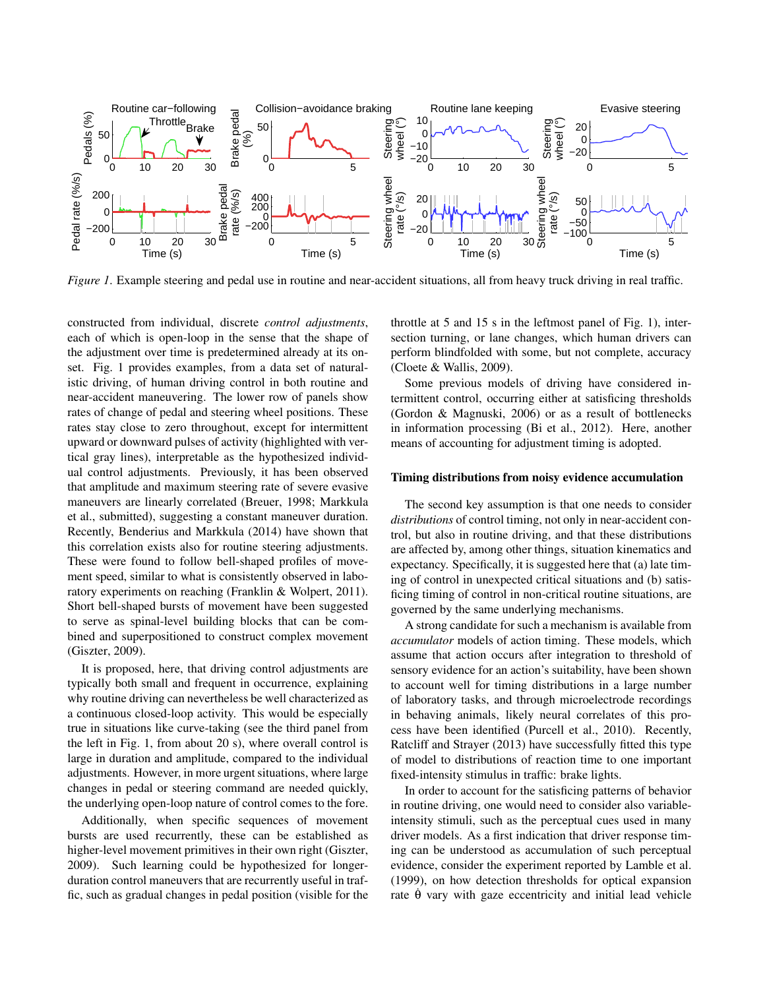

*Figure 1*. Example steering and pedal use in routine and near-accident situations, all from heavy truck driving in real traffic.

constructed from individual, discrete *control adjustments*, each of which is open-loop in the sense that the shape of the adjustment over time is predetermined already at its onset. Fig. 1 provides examples, from a data set of naturalistic driving, of human driving control in both routine and near-accident maneuvering. The lower row of panels show rates of change of pedal and steering wheel positions. These rates stay close to zero throughout, except for intermittent upward or downward pulses of activity (highlighted with vertical gray lines), interpretable as the hypothesized individual control adjustments. Previously, it has been observed that amplitude and maximum steering rate of severe evasive maneuvers are linearly correlated (Breuer, 1998; Markkula et al., submitted), suggesting a constant maneuver duration. Recently, Benderius and Markkula (2014) have shown that this correlation exists also for routine steering adjustments. These were found to follow bell-shaped profiles of movement speed, similar to what is consistently observed in laboratory experiments on reaching (Franklin & Wolpert, 2011). Short bell-shaped bursts of movement have been suggested to serve as spinal-level building blocks that can be combined and superpositioned to construct complex movement (Giszter, 2009).

It is proposed, here, that driving control adjustments are typically both small and frequent in occurrence, explaining why routine driving can nevertheless be well characterized as a continuous closed-loop activity. This would be especially true in situations like curve-taking (see the third panel from the left in Fig. 1, from about 20 s), where overall control is large in duration and amplitude, compared to the individual adjustments. However, in more urgent situations, where large changes in pedal or steering command are needed quickly, the underlying open-loop nature of control comes to the fore.

Additionally, when specific sequences of movement bursts are used recurrently, these can be established as higher-level movement primitives in their own right (Giszter, 2009). Such learning could be hypothesized for longerduration control maneuvers that are recurrently useful in traffic, such as gradual changes in pedal position (visible for the

throttle at 5 and 15 s in the leftmost panel of Fig. 1), intersection turning, or lane changes, which human drivers can perform blindfolded with some, but not complete, accuracy (Cloete & Wallis, 2009).

Some previous models of driving have considered intermittent control, occurring either at satisficing thresholds (Gordon & Magnuski, 2006) or as a result of bottlenecks in information processing (Bi et al., 2012). Here, another means of accounting for adjustment timing is adopted.

#### Timing distributions from noisy evidence accumulation

The second key assumption is that one needs to consider *distributions* of control timing, not only in near-accident control, but also in routine driving, and that these distributions are affected by, among other things, situation kinematics and expectancy. Specifically, it is suggested here that (a) late timing of control in unexpected critical situations and (b) satisficing timing of control in non-critical routine situations, are governed by the same underlying mechanisms.

A strong candidate for such a mechanism is available from *accumulator* models of action timing. These models, which assume that action occurs after integration to threshold of sensory evidence for an action's suitability, have been shown to account well for timing distributions in a large number of laboratory tasks, and through microelectrode recordings in behaving animals, likely neural correlates of this process have been identified (Purcell et al., 2010). Recently, Ratcliff and Strayer (2013) have successfully fitted this type of model to distributions of reaction time to one important fixed-intensity stimulus in traffic: brake lights.

In order to account for the satisficing patterns of behavior in routine driving, one would need to consider also variableintensity stimuli, such as the perceptual cues used in many driver models. As a first indication that driver response timing can be understood as accumulation of such perceptual evidence, consider the experiment reported by Lamble et al. (1999), on how detection thresholds for optical expansion rate  $\dot{\theta}$  vary with gaze eccentricity and initial lead vehicle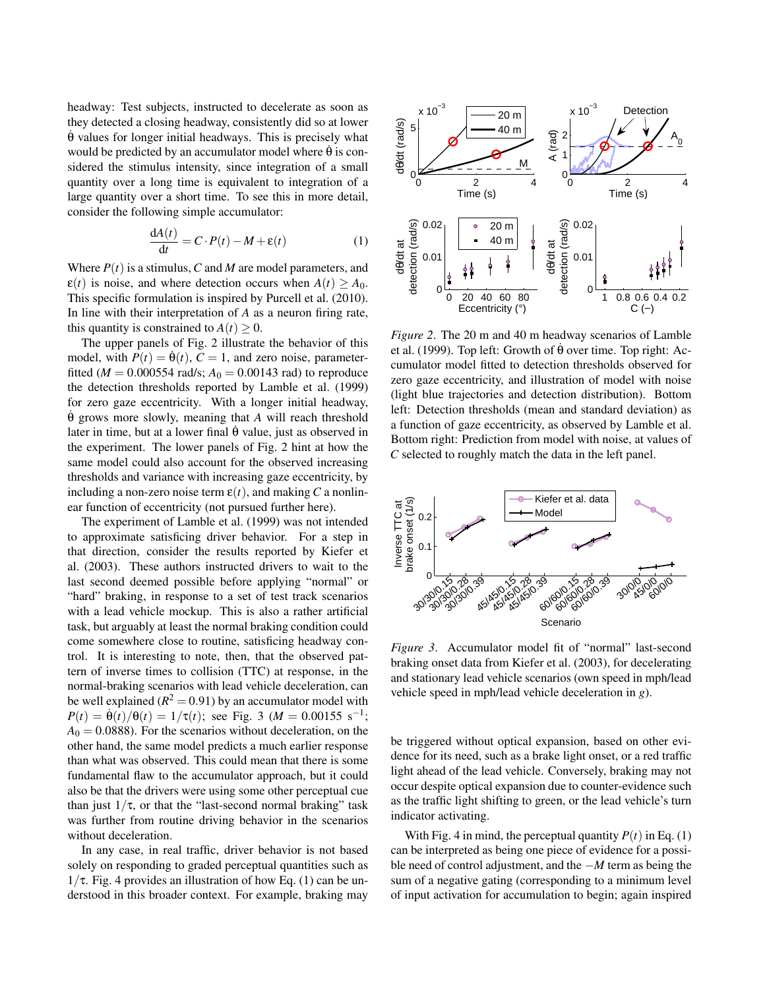headway: Test subjects, instructed to decelerate as soon as they detected a closing headway, consistently did so at lower  $\dot{\theta}$  values for longer initial headways. This is precisely what would be predicted by an accumulator model where  $\hat{\theta}$  is considered the stimulus intensity, since integration of a small quantity over a long time is equivalent to integration of a large quantity over a short time. To see this in more detail, consider the following simple accumulator:

$$
\frac{dA(t)}{dt} = C \cdot P(t) - M + \varepsilon(t)
$$
 (1)

Where *P*(*t*) is a stimulus,*C* and *M* are model parameters, and  $\varepsilon(t)$  is noise, and where detection occurs when  $A(t) > A_0$ . This specific formulation is inspired by Purcell et al. (2010). In line with their interpretation of *A* as a neuron firing rate, this quantity is constrained to  $A(t) \geq 0$ .

The upper panels of Fig. 2 illustrate the behavior of this model, with  $P(t) = \dot{\theta}(t)$ ,  $C = 1$ , and zero noise, parameterfitted ( $M = 0.000554$  rad/s;  $A_0 = 0.00143$  rad) to reproduce the detection thresholds reported by Lamble et al. (1999) for zero gaze eccentricity. With a longer initial headway, θ˙ grows more slowly, meaning that *A* will reach threshold later in time, but at a lower final  $\dot{\theta}$  value, just as observed in the experiment. The lower panels of Fig. 2 hint at how the same model could also account for the observed increasing thresholds and variance with increasing gaze eccentricity, by including a non-zero noise term  $\varepsilon(t)$ , and making *C* a nonlinear function of eccentricity (not pursued further here).

The experiment of Lamble et al. (1999) was not intended to approximate satisficing driver behavior. For a step in that direction, consider the results reported by Kiefer et al. (2003). These authors instructed drivers to wait to the last second deemed possible before applying "normal" or "hard" braking, in response to a set of test track scenarios with a lead vehicle mockup. This is also a rather artificial task, but arguably at least the normal braking condition could come somewhere close to routine, satisficing headway control. It is interesting to note, then, that the observed pattern of inverse times to collision (TTC) at response, in the normal-braking scenarios with lead vehicle deceleration, can be well explained  $(R^2 = 0.91)$  by an accumulator model with  $P(t) = \dot{\theta}(t)/\theta(t) = 1/\tau(t)$ ; see Fig. 3 (*M* = 0.00155 s<sup>-1</sup>;  $A<sub>0</sub> = 0.0888$ . For the scenarios without deceleration, on the other hand, the same model predicts a much earlier response than what was observed. This could mean that there is some fundamental flaw to the accumulator approach, but it could also be that the drivers were using some other perceptual cue than just  $1/\tau$ , or that the "last-second normal braking" task was further from routine driving behavior in the scenarios without deceleration.

In any case, in real traffic, driver behavior is not based solely on responding to graded perceptual quantities such as  $1/\tau$ . Fig. 4 provides an illustration of how Eq. (1) can be understood in this broader context. For example, braking may



*Figure 2*. The 20 m and 40 m headway scenarios of Lamble et al. (1999). Top left: Growth of  $\dot{\theta}$  over time. Top right: Accumulator model fitted to detection thresholds observed for zero gaze eccentricity, and illustration of model with noise (light blue trajectories and detection distribution). Bottom left: Detection thresholds (mean and standard deviation) as a function of gaze eccentricity, as observed by Lamble et al. Bottom right: Prediction from model with noise, at values of *C* selected to roughly match the data in the left panel.



*Figure 3*. Accumulator model fit of "normal" last-second braking onset data from Kiefer et al. (2003), for decelerating and stationary lead vehicle scenarios (own speed in mph/lead vehicle speed in mph/lead vehicle deceleration in *g*).

be triggered without optical expansion, based on other evidence for its need, such as a brake light onset, or a red traffic light ahead of the lead vehicle. Conversely, braking may not occur despite optical expansion due to counter-evidence such as the traffic light shifting to green, or the lead vehicle's turn indicator activating.

With Fig. 4 in mind, the perceptual quantity  $P(t)$  in Eq. (1) can be interpreted as being one piece of evidence for a possible need of control adjustment, and the −*M* term as being the sum of a negative gating (corresponding to a minimum level of input activation for accumulation to begin; again inspired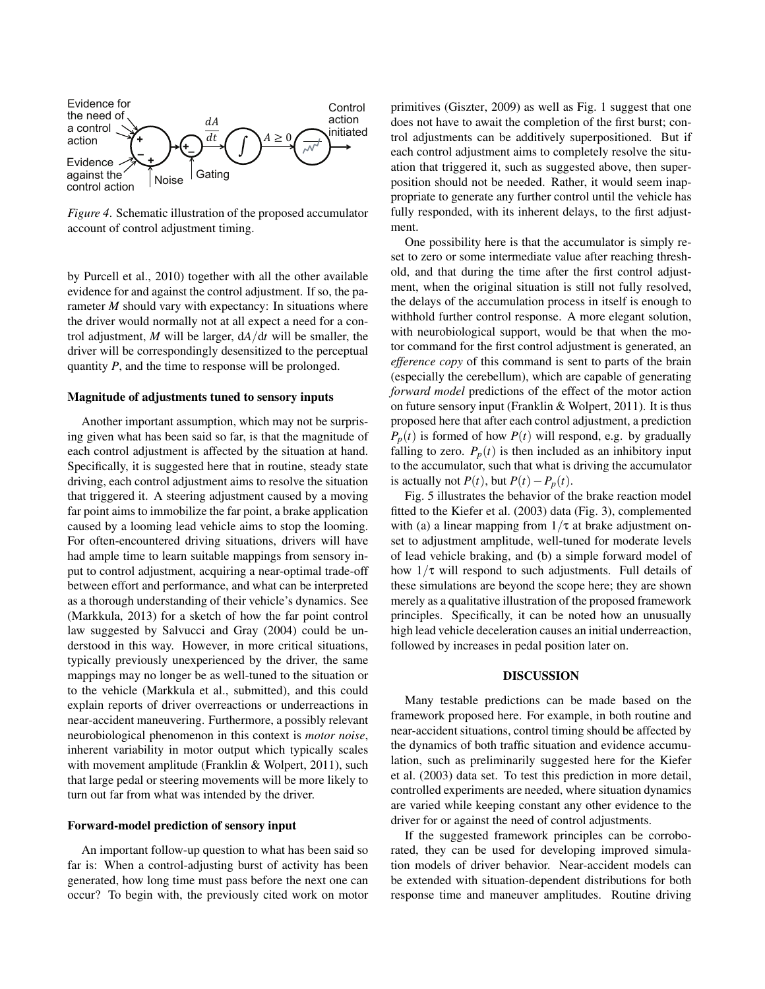

*Figure 4*. Schematic illustration of the proposed accumulator account of control adjustment timing.

by Purcell et al., 2010) together with all the other available evidence for and against the control adjustment. If so, the parameter *M* should vary with expectancy: In situations where the driver would normally not at all expect a need for a control adjustment, *M* will be larger, d*A*/d*t* will be smaller, the driver will be correspondingly desensitized to the perceptual quantity *P*, and the time to response will be prolonged.

## Magnitude of adjustments tuned to sensory inputs

Another important assumption, which may not be surprising given what has been said so far, is that the magnitude of each control adjustment is affected by the situation at hand. Specifically, it is suggested here that in routine, steady state driving, each control adjustment aims to resolve the situation that triggered it. A steering adjustment caused by a moving far point aims to immobilize the far point, a brake application caused by a looming lead vehicle aims to stop the looming. For often-encountered driving situations, drivers will have had ample time to learn suitable mappings from sensory input to control adjustment, acquiring a near-optimal trade-off between effort and performance, and what can be interpreted as a thorough understanding of their vehicle's dynamics. See (Markkula, 2013) for a sketch of how the far point control law suggested by Salvucci and Gray (2004) could be understood in this way. However, in more critical situations, typically previously unexperienced by the driver, the same mappings may no longer be as well-tuned to the situation or to the vehicle (Markkula et al., submitted), and this could explain reports of driver overreactions or underreactions in near-accident maneuvering. Furthermore, a possibly relevant neurobiological phenomenon in this context is *motor noise*, inherent variability in motor output which typically scales with movement amplitude (Franklin & Wolpert, 2011), such that large pedal or steering movements will be more likely to turn out far from what was intended by the driver.

### Forward-model prediction of sensory input

An important follow-up question to what has been said so far is: When a control-adjusting burst of activity has been generated, how long time must pass before the next one can occur? To begin with, the previously cited work on motor

primitives (Giszter, 2009) as well as Fig. 1 suggest that one does not have to await the completion of the first burst; control adjustments can be additively superpositioned. But if each control adjustment aims to completely resolve the situation that triggered it, such as suggested above, then superposition should not be needed. Rather, it would seem inappropriate to generate any further control until the vehicle has fully responded, with its inherent delays, to the first adjustment.

One possibility here is that the accumulator is simply reset to zero or some intermediate value after reaching threshold, and that during the time after the first control adjustment, when the original situation is still not fully resolved, the delays of the accumulation process in itself is enough to withhold further control response. A more elegant solution, with neurobiological support, would be that when the motor command for the first control adjustment is generated, an *efference copy* of this command is sent to parts of the brain (especially the cerebellum), which are capable of generating *forward model* predictions of the effect of the motor action on future sensory input (Franklin & Wolpert, 2011). It is thus proposed here that after each control adjustment, a prediction  $P_p(t)$  is formed of how  $P(t)$  will respond, e.g. by gradually falling to zero.  $P_p(t)$  is then included as an inhibitory input to the accumulator, such that what is driving the accumulator is actually not  $P(t)$ , but  $P(t) - P_p(t)$ .

Fig. 5 illustrates the behavior of the brake reaction model fitted to the Kiefer et al. (2003) data (Fig. 3), complemented with (a) a linear mapping from  $1/\tau$  at brake adjustment onset to adjustment amplitude, well-tuned for moderate levels of lead vehicle braking, and (b) a simple forward model of how  $1/\tau$  will respond to such adjustments. Full details of these simulations are beyond the scope here; they are shown merely as a qualitative illustration of the proposed framework principles. Specifically, it can be noted how an unusually high lead vehicle deceleration causes an initial underreaction, followed by increases in pedal position later on.

### DISCUSSION

Many testable predictions can be made based on the framework proposed here. For example, in both routine and near-accident situations, control timing should be affected by the dynamics of both traffic situation and evidence accumulation, such as preliminarily suggested here for the Kiefer et al. (2003) data set. To test this prediction in more detail, controlled experiments are needed, where situation dynamics are varied while keeping constant any other evidence to the driver for or against the need of control adjustments.

If the suggested framework principles can be corroborated, they can be used for developing improved simulation models of driver behavior. Near-accident models can be extended with situation-dependent distributions for both response time and maneuver amplitudes. Routine driving